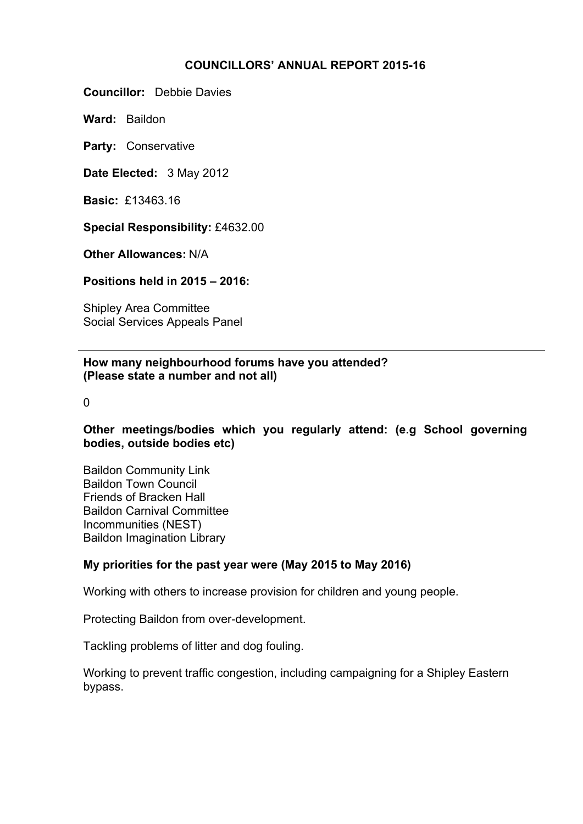## **COUNCILLORS' ANNUAL REPORT 2015-16**

**Councillor:** Debbie Davies

**Ward:** Baildon

**Party:** Conservative

**Date Elected:** 3 May 2012

**Basic:** £13463.16

**Special Responsibility:** £4632.00

**Other Allowances:** N/A

**Positions held in 2015 – 2016:**

Shipley Area Committee Social Services Appeals Panel

**How many neighbourhood forums have you attended? (Please state a number and not all)**

 $\Omega$ 

**Other meetings/bodies which you regularly attend: (e.g School governing bodies, outside bodies etc)**

Baildon Community Link Baildon Town Council Friends of Bracken Hall Baildon Carnival Committee Incommunities (NEST) Baildon Imagination Library

## **My priorities for the past year were (May 2015 to May 2016)**

Working with others to increase provision for children and young people.

Protecting Baildon from over-development.

Tackling problems of litter and dog fouling.

Working to prevent traffic congestion, including campaigning for a Shipley Eastern bypass.